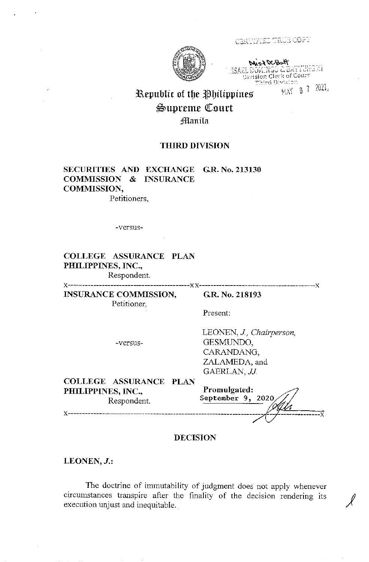

CERTIFIED TRUE COPT

.I5AZL ttt~1,,.·::··;':~;-:::; ·,'.Jl Division Clerk of Court chird Division ິີ<br>( ຄ. 7 - 2021 ,

 $\sum_{i=1}^n$ 

# Republic of the Philippines ~uprenle <fourt **Manila**

# **THIRD DIVISION**

# **SECURITIES AND EXCHANGE G.R. No. 213130 COMMISSION** & **INSURANCE COMMISSION,**  Petitioners,

-versus-

**COLLEGE ASSURANCE PLAN PHILIPPINES, INC.,** 

Respondent. X -------------------------------------------XX-----------------------------------------X

**INSURANCE COMMISSION,**  Petitioner,

**G.R. No. 218193** 

Present:

-versus-

LEONEN, *J., Chairperson,*  GESMUNDO, CARANDANG, ZALAMEDA, and GAERLAN, *JJ.* 

**COLLEGE ASSURANCE PLAN PHILIPPINES, INC.,**  Respondent.

x--------------------------------------------------------------------- <sup>1</sup>

**Promulgated: September 9, 2020**   $\frac{1}{4}$ 

### **DECISION**

**LEONEN,J.:** 

The doctrine of immutability of judgment does not apply whenever circumstances transpire after the finality of the decision rendering its  $\mathcal{J}$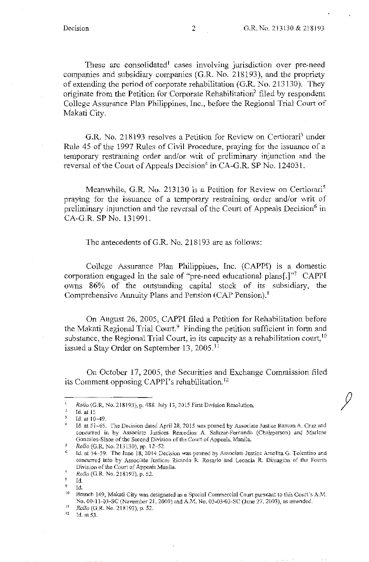These are consolidated<sup>1</sup> cases involving jurisdiction over pre-need companies and subsidiary companies (G.R. No. 218193), and the propriety of extending the period of corporate rehabilitation (G.R. No. 213130). They originate from the Petition for Corporate Rehabilitation<sup>2</sup> filed by respondent College Assurance Plan Philippines, Inc., before the Regional Trial Court of Makati City.

G.R. No. 218193 resolves a Petition for Review on Certiorari<sup>3</sup> under Rule 45 of the 1997 Rules of Civil Procedure, praying for the issuance of a temporary restraining order and/or writ of preliminary injunction and the reversal of the Court of Appeals Decision<sup>4</sup> in CA-G.R. SP No. 124031.

Meanwhile, G.R. No. 213130 is a Petition for Review on Certiorari<sup>5</sup> praying for the issuance of a temporary restraining order and/or writ of preliminary injunction and the reversal of the Court of Appeals Decision<sup>6</sup> in CA-G.R. SP No. 131991.

The antecedents of G.R. No. 218193 are as follows:

College Assurance Plan Philippines, Inc. (CAPPI) is a domestic corporation engaged in the sale of "pre-need educational plans[.]"<sup>7</sup> CAPPI owns 86% of the outstanding capital stock of its subsidiary, the Comprehensive Annuity Plans and Pension (CAP Pension).<sup>8</sup>

On August 26, 2005, CAPPI filed a Petition for Rehabilitation before the Makati Regional Trial Court.<sup>9</sup> Finding the petition sufficient in form and substance, the Regional Trial Court, in its capacity as a rehabilitation court,  $10$ issued a Stay Order on September 13, 2005. <sup>11</sup>

On October 17, 2005, the Securities and Exchange Commission filed its Comment opposing CAPPI's rehabilitation.<sup>12</sup>

12 Id. at 53.

 $\mathbf{1}$ *Rollo* (G.R. No. 218193), p. 488. July 13, 2015 First Division Resolution.

 $\mathbf{2}$ Id. at 15

 $\overline{\mathbf{3}}$ Id. at 10-49.

 $\overline{4}$ Id. at 51-65. The Decision dated April 28, 2015 was penned by Associate Justice Ramon A. Cruz and concurred in by Associate Justices Remedios A. Salazar-Fernando (Chairperson) and Marlene Gonzales-Sison of the Second Division of the Court of Appeals, Manila.

*Rollo* (G.R. No. 213130), pp. 12-52.

<sup>&</sup>lt;sup>5</sup> Rollo (G.R. No. 213130), pp. 12–52.<br><sup>6</sup> Id. at 54–59. The June 18, 2014 Decision was penned by Associate Justice Amelita G. Tolentino and concurred into by Associate Justices Ricardo R. Rosario and Leoncia R. Dimagiba of the Fourth Division of the Court of Appeals Manila.  $\gamma$ 

*Rollo* (G.R. No. 218193), p. 52. 8

Id.

<sup>&</sup>lt;sup>9</sup> Id.<br><sup>10</sup> Branch 149, Makati City was designated as a Special Commercial Court pursuant to this Court's A.M. No. 00-11-03-SC (November 21, 2000) and A.M. No. 03-03-03-SC (June 27, 2003), as amended.<br>
<sup>11</sup> Rollo (G.R. No. 218193), p. 52.<br>
<sup>12</sup> Id. at 53.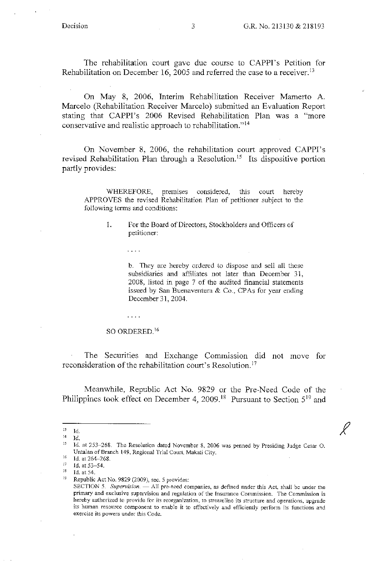The rehabilitation court gave due course to CAPPI's Petition for Rehabilitation on December 16, 2005 and referred the case to a receiver.<sup>13</sup>

On May 8, 2006, Interim Rehabilitation Receiver Mamerto A. Marcelo (Rehabilitation Receiver Marcelo) submitted an Evaluation Report stating that CAPPI's 2006 Revised Rehabilitation Plan was a "more conservative and realistic approach to rehabilitation." <sup>14</sup>

On November 8, 2006, the rehabilitation court approved CAPPI's revised Rehabilitation Plan through a Resolution. 15 Its dispositive portion partly provides:

WHEREFORE, premises considered, this court hereby APPROVES the revised Rehabilitation Plan of petitioner subject to the following tenns and conditions:

1. For the Board of Directors, Stockholders and Officers of petitioner:

> b. They are hereby ordered to dispose and sell all these subsidiaries and affiliates not later than December 31, 2008, listed in page 7 of the audited financial statements issued by San Buenaventura & Co., CPAs for year ending December 31, 2004.

#### SO ORDERED.<sup>16</sup>

 $\mathbb{Z}^2$  ,  $\mathbb{Z}^2$  ,  $\mathbb{Z}^2$ 

 $\bar{z}$  ,  $\bar{z}$  ,  $\bar{z}$ 

The Securities and Exchange Commission did not move for reconsideration of the rehabilitation court's Resolution. <sup>17</sup>

Meanwhile, Republic Act No. 9829 or the Pre-Need Code of the Philippines took effect on December 4, 2009.<sup>18</sup> Pursuant to Section 5<sup>19</sup> and

 $^{13}$  Id.

<sup>&</sup>lt;sup>14</sup> Id.<br><sup>15</sup> Id. at 253–268. The Resolution dated November 8, 2006 was penned by Presiding Judge Cesar O. Untalan of Branch 149, Regional Trial Court, Makati City.<br>
16 Id. at 264-268.<br>
17 Id. at 52.54.

<sup>&</sup>lt;sup>17</sup> Id. at 53-54.<br><sup>18</sup> Id. at 54. 19 Republic Act No. 9829 (2009), sec. 5 provides:

SECTION 5. Supervision. - All pre-need companies, as defined nnder this Act, shall be under the primary and exclusive supervision and regulation of the Insurance Commission. The Commission is hereby authorized to provide for its reorganization, to streamline its structure and operations, upgrade its human resource component to enable it to effectively and efficiently perform its functions and exercise its powers under this Code.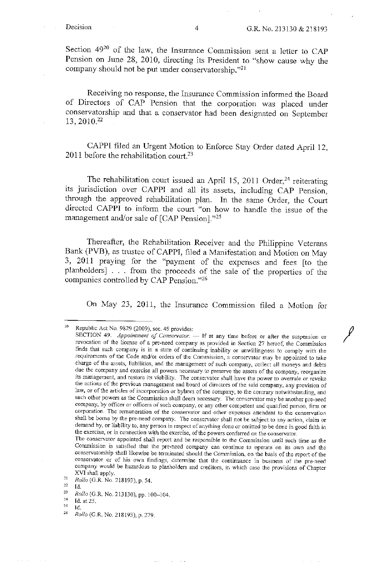*I* 

Section 4920 of the law, the Insurance Commission sent a letter to CAP Pension on June 28, 2010, directing its President to "show cause why the company should not be put under conservatorship."21

Receiving no response, the Insurance Commission informed the Board of Directors of CAP Pension that the corporation was placed under conservatorship and that a conservator had been designated on September 13, 2010. <sup>22</sup>

CAPP! filed an Urgent Motion to Enforce Stay Order dated April 12, 2011 before the rehabilitation court.<sup>23</sup>

The rehabilitation court issued an April 15, 2011 Order,<sup>24</sup> reiterating its jurisdiction over CAPP! and all its assets, including CAP Pension, through the approved rehabilitation plan. In the same Order, the Court directed CAPP! to inform the court "on how to handle the issue of the management and/or sale of [CAP Pension]."25

Thereafter, the Rehabilitation Receiver and the Philippine Veterans Bank (PVB), as trustee of CAPPI, filed a Manifestation and Motion on May 3, 2011 praying for the "payment of the expenses and fees [to the planholders] . . . from the proceeds of the sale of the properties of the companies controlled by CAP Pension."<sup>26</sup>

On May 23, 2011, the Insurance Commission filed a Motion for

24 Id.at25.

Republic Act No. 9829 (2009), sec. 49 provides:

SECTION 49. *Appointment of Conservator*. - If at any time before or after the suspension or revocation of the license of a pre-need company as provided in Section 27 hereof, the Commission finds that such company is in a state of continuing inability or unwillingness to comply with the requirements of the Code and/or orders of the Commission, a conservator may be appointed to take charge of the assets, liabilities, and the management of such company, collect all moneys and debts due the company and exercise all powers necessary to preserve the assets of the company, reorganize its management, and restore its viability. The conservator shall have the power to overrule or revoke the actions of the previous management and board of directors of the said company, any provision of law, or of the articles of incorporation or bylaws of the company, to the contrary notwithstanding, and such other powers as the Commission shall deem necessary. The conservator may be another pre-need company, by officer or officers of such company, or any other competent and qualified person, firm or corporation. The remuneration of the conservator and other expenses attendant to the conservation shall be borne by the pre-need company. The conservator shall not be subject to any action, claim or demand by, or liability to, any person in respect of anything done or omitted to be done in good faith in the exercise, or in connection with the exercise, of the powers conferred on the conservator.

The conservator appointed shall report and be responsible to the Commission until such time as the Commission is satisfied that the pre-need company can continue to operate on its own and the conservatorship shall likewise be terminated should the Commission, on the basis of the report of the conservator or of his own findings, determine that the continuance in business of the pre-need company would be hazardous to planholders and creditors, in which case the provisions of Chapter XVI shall apply.

 $2I$ *Rollo* (G.R. No. 218193), p. 54.

*n*  Id.

 $\bf 23$ *Rollo* (G.R. No.213130), pp. 100-104.

 $25\,$ Id.

<sup>26</sup> *Rollo* (G.R. No.218193), p. 279.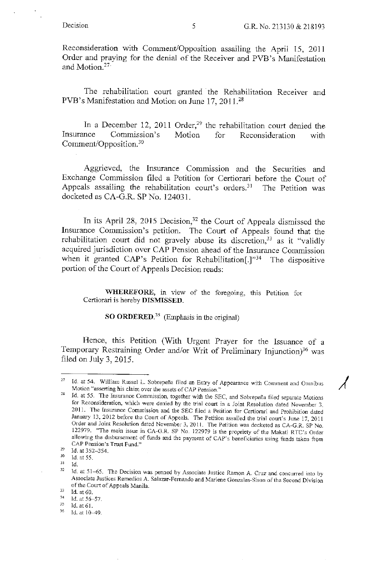Reconsideration with Connnent/Opposition assailing the April 15, 201 I Order and praying for the denial of the Receiver and PVB 's Manifestation and Motion. 27

The rehabilitation court granted the Rehabilitation Receiver and PVB's Manifestation and Motion on June 17, 2011.<sup>28</sup>

In a December 12, 2011 Order,<sup>29</sup> the rehabilitation court denied the Insurance Commission's Comment/Opposition. 30 Motion for Reconsideration with

Aggrieved, the Insurance Commission and the Securities and Exchange Commission filed a Petition for Certiorari before the Court of Appeals assailing the rehabilitation court's orders.<sup>31</sup> The Petition was docketed as CA-G.R. SP No. 12403 I.

In its April 28, 2015 Decision,<sup>32</sup> the Court of Appeals dismissed the Insurance Commission's petition. The Court of Appeals found that the rehabilitation court did not gravely abuse its discretion,  $33$  as it "validly acquired jurjsdiction over CAP Pension ahead of the Insurance Commission when it granted CAP's Petition for Rehabilitation[.]"<sup>34</sup> The dispositive portion of the Court of Appeals Decision reads:

**WHEREFORE,** in view of the foregoing, this Petition for Certiorari is hereby **DISMISSED.** 

**SO ORDERED.<sup>35</sup>**(Emphasis in the original)

Hence, this Petition (With Urgent Prayer for the Issuance of a Temporary Restraining Order and/or Writ of Preliminary Injunction)<sup>36</sup> was filed on July 3,  $2015$ .

<sup>&</sup>lt;sup>27</sup> Id. at 54. William Russel L. Sobrepeña filed an Entry of Appearance with Comment and Omnibus Motion "asserting his claim over the assets of CAP Pension."

Id. at 55. The Insurance Commission, together with the SEC, and Sobrepeña filed separate Motions for Reconsideration, which were denied by the trial court in a Joint Resolution dated November 3, 2011. The Insurance Commission and the SEC filed a Petition for Certiorari and Prohibition dated January 13, 2012 before the Court of Appeals. The Petition assailed the trial court's June 17, 2011 Order and Joint Resolution dated November 3, 2011. The Petition was docketed as CA-G.R. SP No. 122979. "The main issue in CA-G.R. SP No. 122979 is the propriety of the Makati RTC's Order allowing the disbursement of funds and the payment of CAP's beneficiaries using funds taken from CAP Pension's Trust Fund."<br>
<sup>29</sup> Id. at 352-354.<br>
<sup>30</sup> Id. at 55.<br>
<sup>31</sup> Id.

<sup>31</sup> Id.

<sup>&</sup>lt;sup>32</sup> Id. at 51-65. The Decision was penned by Associate Justice Ramon A. Cruz and concurred into by Associate Justices Remedios A. Salazar-Fernando and Marlene Gonzales-Sison of the Second Division of the Court of Appeals Manila.<br>
<sup>33</sup> Id. at 60.<br>
<sup>34</sup> Id. at 56, 57.

<sup>&</sup>lt;sup>34</sup> Id. at 56-57.<br><sup>35</sup> Id. at 61.<br><sup>36</sup> Id. at 10-49.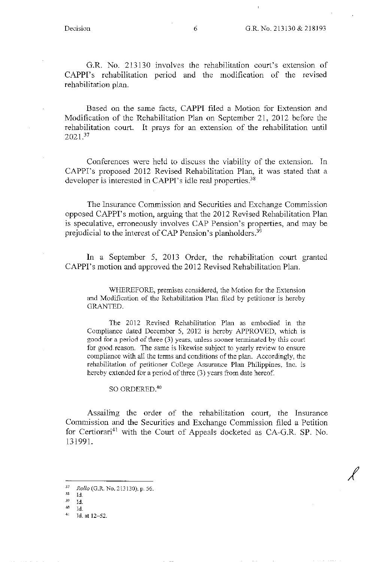G.R. No. 213130 involves the rehabilitation court's extension of CAPPI's rehabilitation period and the modification of the revised rehabilitation plan.

Based on the same facts, CAPPI filed a Motion for Extension and Modification of the Rehabilitation Plan on September 21, 2012 before the rehabilitation court. It prays for an extension of the rehabilitation until 2021.<sup>37</sup>

Conferences were held to discuss the viability of the extension. In CAPPI's proposed 2012 Revised Rehabilitation Plan, it was stated that a developer is interested in CAPPI's idle real properties.<sup>38</sup>

The Insurance Commission and Securities and Exchange Commission opposed CAPPI's motion, arguing that the 2012 Revised Rehabilitation Plan is speculative, erroneously involves CAP Pension's properties, and may be prejudicial to the interest of CAP Pension's planholders.<sup>39</sup>

In a September 5, 2013 Order, the rehabilitation court granted CAPPI's motion and approved the 2012 Revised Rehabilitation Plan.

WHEREFORE, premises considered, the Motion for the Extension and Modification of the Rehabilitation Plan filed by petitioner is hereby GRANTED.

The 2012 Revised Rehabilitation Plan as embodied in the Compliance dated December 5, 2012 is hereby APPROVED, which is good for a period of three (3) years, unless sooner terminated by this court for good reason. The same is likewise subject to yearly review to ensure compliance with all the terms and conditions of the plan. Accordingly, the rehabilitation of petitioner College Assurance Plan Philippines, Inc. is hereby extended for a period of three (3) years from date hereof.

#### SO ORDERED.<sup>40</sup>

Assailing the order of the rehabilitation court, the Insurance Commission and the Securities and Exchange Commission filed a Petition for Certiorari<sup>41</sup> with the Court of Appeals docketed as CA-G.R. SP. No. 131991.

- $\frac{39}{40}$  Id.
- 

<sup>37</sup>*Rollo* (G.R. No. 213130), p. 56.

Id.

 $^{40}$  Id.<br> $^{41}$  Id. at 12-52.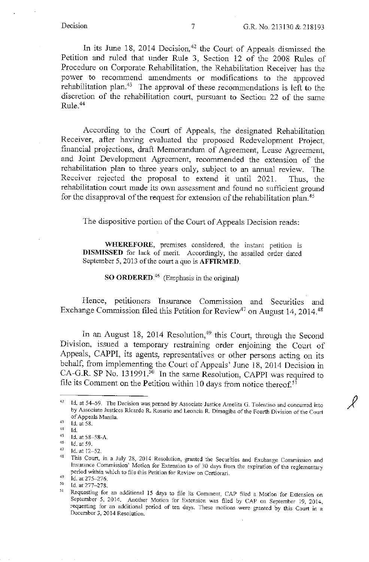$\mathcal{L}$ 

In its June 18, 2014 Decision,<sup>42</sup> the Court of Appeals dismissed the Petition and ruled that under Rule 3, Section 12 of the 2008 Rules of Procedure on Corporate Rehabilitation, the Rehabilitation Receiver has the power to recommend amendments or modifications to the approved rehabilitation plan.43 The approval of these recommendations is left to the discretion of the rehabilitation court, pursuant to Section 22 of the same Rule.<sup>44</sup>

According to the Court of Appeals, the designated Rehabilitation Receiver, after having evaluated the proposed Redevelopment Project, financial projections, draft Memorandum of Agreement, Lease Agreement, and Joint Development Agreement, recommended the extension of the rehabilitation plan to three years only, subject to an annual review. The Receiver rejected the proposal to extend it until 2021. Thus, the rehabilitation court made its own assessment and found no sufficient ground for the disapproval of the request for extension of the rehabilitation plan.<sup>45</sup>

The dispositive portion of the Court of Appeals Decision reads:

**WHEREFORE,** premises considered, the instant petition is **DISMISSED** for lack of merit Accordingly, the assailed order dated September 5, 2013 of the court a quo is **AFFIRMED**.

**SO ORDERED.46** (Emphasis in the original)

Hence, petitioners Insurance Commission and Securities and Exchange Commission filed this Petition for Review<sup>47</sup> on August 14, 2014.<sup>48</sup>

In an August 18, 2014 Resolution,<sup>49</sup> this Court, through the Second Division, issued a temporary restraining order enjoining the Court of Appeals, CAPPI, its agents, representatives or other persons acting on its behalf, from implementing the Court of Appeals' June 18, 2014 Decision in CA-G.R. SP No. 131991.<sup>50</sup> In the same Resolution, CAPPI was required to file its Comment on the Petition within 10 days from notice thereof.<sup>51</sup>

<sup>&</sup>lt;sup>42</sup> Id. at 54-59. The Decision was penned by Associate Justice Amelita G. Tolentino and concurred into by Associate Justices Ricardo R. Rosario and Leoncia R. Dimagiba of the Fourth Division of the Court of Appeals Manila.<br> $^{43}$  Id. at 58.<br> $^{44}$  Id.

<sup>44</sup> Id.<br>
45 Id. at 58–58-A.<br>
46 Id. at 59.<br>
47 Id. at 12–52.<br>
48 This Court, in a July 28, 2014 Resolution, granted the Securities and Exchange Commission and Insurance Commission' Motion for Extension to of 30 days from the expiration of the reglementary period within which to file this Petition for Review on Certiorari.

 $^{49}$  Id. at 275-276.

 $^{50}$  Id. at 277-278.

*<sup>51</sup>*Requesting for an additional 15 days to file its Comment, CAP filed a Motion for Extension on September 5, 2014. Another Motion for Extension was filed by CAP on September !9, 2014, requesting for an additional period of ten days. These motions were granted by this Court in a December 3, 2014 Resolution.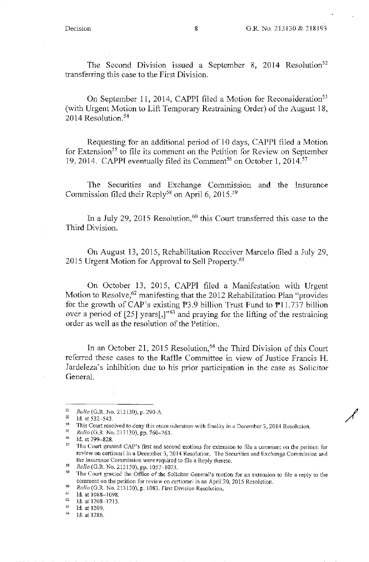The Second Division issued a September 8, 2014 Resolution<sup>52</sup> transfening this case to the First Division.

On September 11, 2014, CAPPI filed a Motion for Reconsideration<sup>53</sup> (with Urgent Motion to Lift Temporary Restraining Order) of the August 18, 2014 Resolution.<sup>54</sup>

Requesting for an additional period of IO days, CAPP! filed a Motion for Extension<sup>55</sup> to file its comment on the Petition for Review on September 19, 2014. CAPPI eventually filed its Comment<sup>56</sup> on October 1, 2014.<sup>57</sup>

The Securities and Exchange Commission and the Insurance Commission filed their Reply<sup>58</sup> on April 6, 2015.<sup>59</sup>

In a July 29, 2015 Resolution,<sup>60</sup> this Court transferred this case to the Third Division.

On August 13, 2015, Rehabilitation Receiver Marcelo filed a July 29, 2015 Urgent Motion for Approval to Sell Property.<sup>61</sup>

On October 13, 2015, CAPP! filed a Manifestation with Urgent Motion to Resolve,<sup>62</sup> manifesting that the 2012 Rehabilitation Plan "provides" for the growth of CAP's existing  $\overline{P}3.9$  billion Trust Fund to  $\overline{P}11.737$  billion over a period of  $[25]$  years $[,$ <sup>3</sup><sup>63</sup> and praying for the lifting of the restraining order as well as the resolution of the Petition.

In an October 21, 2015 Resolution,  $64$  the Third Division of this Court referred these cases to the Raffle Committee in view of Justice Francis H. Jardeleza's inhibition due to his prior participation in the case as Solicitor General.

<sup>&</sup>lt;sup>52</sup> Rollo (G.R. No. 213130), p. 290-A.<br>
153 Id. at 532–543.<br>
This Court resolved to deny this reconsideration with finality in a December 3, 2014 Resolution.<br>
<sup>55</sup> Rollo (G.R. No. 213130), pp. 760–763.<br>
<sup>56</sup> Id. at 799–8 review on certiorari in a December 3, 2014 Resolution. The Securities and Exchange Commission and the Insurance Commission were required to file a Reply thereto.

*<sup>58</sup> Rollo* (G.R. No. 213130), pp. 1057-1073.

*<sup>59</sup>*The Court granted the Office of the Solicitor General's motion for an extension to file a reply to the comment on the petition for review on certiorari in an April 20, 2015 Resolution.<br>  $Rollo$  (G.R. No. 213130), p. 1083. First Division Resolution.<br>
Id. at 1088-1098.<br>
Id. at 1208-1213.<br>
Id. at 1209.<br>
Id. at 1209.<br>
Id. at 122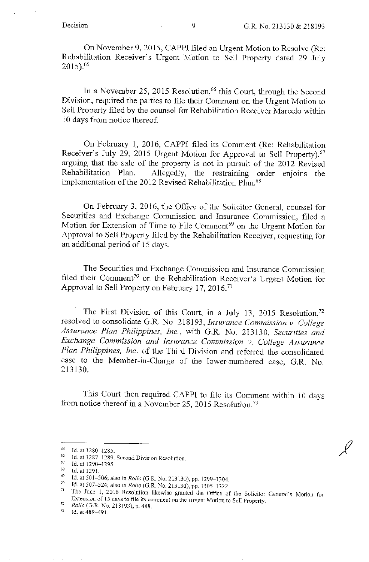On November 9, 2015, CAPPI filed an Urgent Motion to Resolve (Re: Rehabilitation Receiver's Urgent Motion to Sell Property dated 29 July 2015).65

In a November 25, 2015 Resolution,<sup>66</sup> this Court, through the Second Division, required the parties to file their Comment on the Urgent Motion to Sell Property filed by the counsel for Rehabilitation Receiver Marcelo within 10 days from notice thereof.

On February 1, 2016, CAPP! filed its Comment (Re: Rehabilitation Receiver's July 29, 2015 Urgent Motion for Approval to Sell Property), <sup>67</sup> arguing that the sale of the property is not in pursuit of the 2012 Revised Rehabilitation Plan. Allegedly, the restraining order enjoins the implementation of the 2012 Revised Rehabilitation Plan.<sup>68</sup>

On February 3, 2016, the Office of the Solicitor General, counsel for Securities and Exchange Commission and Insurance Commission, filed a Motion for Extension of Time to File Comment<sup>69</sup> on the Urgent Motion for Approval to Sell Property filed by the Rehabilitation Receiver, requesting for an additional period of 15 days.

The Securities and Exchange Commission and Insurance Commission filed their Comment<sup>70</sup> on the Rehabilitation Receiver's Urgent Motion for Approval to Sell Property on February 17, 2016.<sup>71</sup>

The First Division of this Court, in a July 13, 2015 Resolution,<sup>72</sup> resolved to consolidate G.R. No. 218193, *Insurance Commission v. College Assurance Plan Philippines, Inc.,* with G.R. No. 213130, *Securities and Exchange Commission and Insurance Commission v. College Assurance*  Plan Philippines, Inc. of the Third Division and referred the consolidated case to the Member-in-Charge of the lower-numbered case, G.R. No. 213130.

This Court then required CAPPI to file its Comment within 10 days from notice thereof in a November 25, 2015 Resolution.<sup>73</sup>

<sup>&</sup>lt;sup>65</sup> Id. at 1280-1285.<br><sup>66</sup> Id. at 1287-1289. Second Division Resolution.<br><sup>67</sup> Id. at 1290-1295.<br><sup>68</sup> Id. at 1201.

<sup>&</sup>lt;sup>68</sup> Id. at 1291.<br>
<sup>69</sup> Id. at 501-506; also in *Rollo* (G.R. No. 213130), pp. 1299-1304.<br>
<sup>70</sup> Id. at 507-524; also in *Rollo* (G.R. No. 213130), pp. 1305-1322.

The June 1, 2016 Resolution likewise granted the Office of the Solicitor General's Motion for Extension of 15 days to file its comment on the Urgent Motion to Sell Property.<br> *Rollo* (G.R. No. 218193), p. 488.<br>
<sup>73</sup> Id. at 489–491.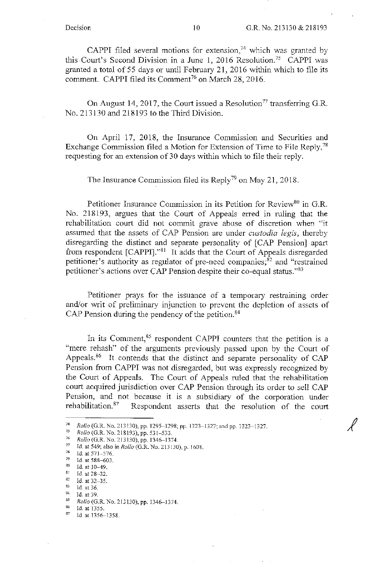*J* 

CAPPI filed several motions for extension,<sup>74</sup> which was granted by this Court's Second Division in a June 1, 2016 Resolution.<sup>75</sup> CAPPI was granted a total of 55 days or until February 21, 2016 within which to file its comment. CAPPI filed its Comment<sup>76</sup> on March 28, 2016.

On August 14, 2017, the Court issued a Resolution<sup>77</sup> transferring G.R. No. 213130 and 218193 to the Third Division.

On April 17, 2018, the Insurance Commission and Securities and Exchange Commission filed a Motion for Extension of Time to File Reply,  $^{78}$ requesting for an extension of30 days within which to file their reply.

The Insurance Commission filed its Reply<sup>79</sup> on May 21, 2018.

Petitioner Insurance Commission in its Petition for Review<sup>80</sup> in G.R. No. 218193, argues that the Court of Appeals erred in ruling that the rehabilitation court did not commit grave abuse of discretion when "it assumed that the assets of CAP Pension are under *custodia legis,* thereby disregarding the distinct and separate personality of [CAP Pension] apart from respondent  $\lceil \text{CAPPI}\rceil$ ."<sup>81</sup> It adds that the Court of Appeals disregarded petitioner's authority as regulator of pre-need companies;<sup>82</sup> and "restrained" petitioner's actions over CAP Pension despite their co-equal status."<sup>83</sup>

Petitioner prays for the issuance of a temporary restraining order and/or writ of preliminary injunction to prevent the depletion of assets of CAP Pension during the pendency of the petition.<sup>84</sup>

In its Comment, $85$  respondent CAPPI counters that the petition is a "mere rehash" of the arguments previously passed upon by the Court of Appeals.<sup>86</sup> It contends that the distinct and separate personality of CAP Pension from CAPPI was not disregarded, but was expressly recognized by the Court of Appeals. The Court of Appeals ruled that the rehabilitation court acquired jurisdiction over CAP Pension through its order to sell CAP Pension, and not because it is a subsidiary of the corporation under rehabilitation. $87$  Respondent asserts that the resolution of the court

<sup>&</sup>lt;sup>74</sup> Rollo (G.R. No. 213130), pp. 1295–1298; pp. 1323–1327; and pp. 1323–1327.<br>
<sup>75</sup> Rollo (G.R. No. 218193), pp. 531–533.<br>
<sup>76</sup> Rollo (G.R. No. 213130), pp. 1346–1374.<br>
<sup>77</sup> Id. at 549; also in Rollo (G.R. No. 213130), p

<sup>78</sup> Id. at 571-576.<br>
<sup>79</sup> Id. at 588-603.<br>
<sup>80</sup> Id. at 10-49.<br>
<sup>81</sup> Id. at 28-32.<br>
<sup>82</sup> Id. at 23-35.

<sup>82</sup> Id. at 32-35.<br>
<sup>83</sup> Id. at 36.<br>
<sup>85</sup> *Rollo* (G.R. No. 213130), pp. 1346-1374.<br>
<sup>86</sup> Id. at 1355.<br>
87 Id. at 1356-1358.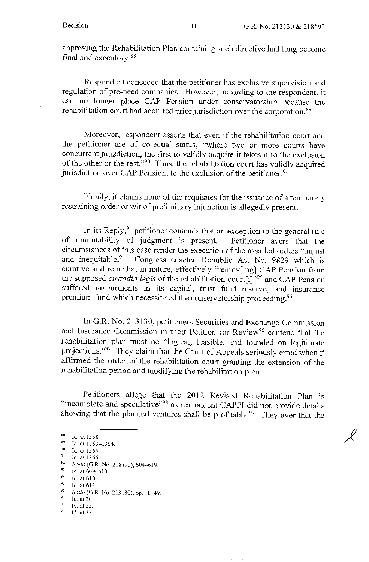approving the Rehabilitation Plan containing such directive had long become final and executory. 88

Respondent conceded that the petitioner has exclusive supervision and regulation of pre-need companies. However, according to the respondent, it can no longer place CAP Pension under conservatorship because the rehabilitation court had acquired prior jurisdiction over the corporation. 89

Moreover, respondent asserts that even if the rehabilitation court and the petitioner are of co-equal status, "where two or more courts have concurrent jurisdiction, the first to validly acquire it takes it to the exclusion of the other or the rest. "90 Thus, the rehabilitation court *has* validly acquired jurisdiction over CAP Pension, to the exclusion of the petitioner.<sup>91</sup>

Finally, it claims none of the requisites for the issuance of a temporary restraining order or wit of preliminary injunction is allegedly present.

In its Reply,<sup>92</sup> petitioner contends that an exception to the general rule of immutability of judgment is present. Petitioner avers that the circumstances of this case render the execution of the assailed orders "unjust and inequitable.<sup>93</sup> Congress enacted Republic Act No. 9829 which is curative and remedial in nature, effectively "remov[ing] CAP Pension from the supposed *custodia legis* of the rehabilitation court[;]"94 and CAP Pension suffered impairments in its capital, trust fund reserve, and insurance premium fund which necessitated the conservatorship proceeding. 95

In G.R. No. 213130, petitioners Securities and Exchange Commission and Insurance Commission in their Petition for Review<sup>96</sup> contend that the rehabilitation plan must be "logical, feasible, and founded on legitimate projections."<sup>97</sup> They claim that the Court of Appeals seriously erred when it affirmed the order of the rehabilitation court granting the extension of the rehabilitation period and modifying the rehabilitation plan.

Petitioners allege that the 2012 Revised Rehabilitation Plan is "incomplete and speculative"<sup>98</sup> as respondent CAPPI did not provide details showing that the planned ventures shall be profitable.<sup>99</sup> They aver that the

 $^{97}$  Id. at 30.<br> $^{98}$  Id. at 32.

<sup>88</sup> Id. at 1358.<br>
89 Id. at 1363–1364.<br>
90 Id. at 1365.<br>
91 *d.* at 1366.<br>
92 *Pollo (G P No.* 31

<sup>&</sup>lt;sup>92</sup> *Rollo* (G.R. No. 218193), 604-619.<br><sup>93</sup> Id. at 609-610.<br><sup>94</sup> Id. at 610.<br>95 Id. at 612.

<sup>&</sup>lt;sup>95</sup> Id. at 613.<br><sup>96</sup> Rollo (G.R. No. 213130), pp. 10–49.<br><sup>97</sup> M et 30.

 $^{98}$  Id. at 32.<br> $^{99}$  Id. at 33.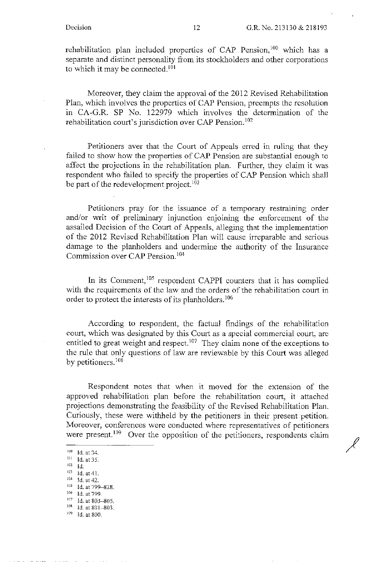rehabilitation plan included properties of CAP Pension,<sup>100</sup> which has a separate and distinct personality from its stockholders and other corporations to which it may be connected.<sup>101</sup>

Moreover, they claim the approval of the 2012 Revised Rehabilitation Plan, which involves the properties of CAP Pension, preempts the resolution in CA-G.R. SP No. 122979 which involves the determination of the rehabilitation court's jurisdiction over CAP Pension. <sup>102</sup>

Petitioners aver that the Court of Appeals erred in ruling that they failed to show how the properties of CAP Pension are substantial enough to affect the projections in the rehabilitation plan. Further, they claim it was respondent who failed to specify the properties of CAP Pension which shall be part of the redevelopment project.  $103$ 

Petitioners pray for the issuance of a temporary restraining order and/or writ of preliminary injunction enjoining the enforcement of the assailed Decision of the Court of Appeals, alleging that the implementation of the 2012 Revised Rehabilitation Plan will cause irreparable and serious damage to the planholders and undermine the authority of the Insurance Commission over CAP Pension. <sup>104</sup>

In its Comment,<sup>105</sup> respondent CAPPI counters that it has complied with the requirements of the law and the orders of the rehabilitation court in order to protect the interests of its planholders.<sup>106</sup>

According to respondent, the factual findings of the rehabilitation court, which was designated by this Court as a special commercial court, are entitled to great weight and respect.<sup>107</sup> They claim none of the exceptions to the rule that only questions of law are reviewable by this Court was alleged by petitioners.<sup>108</sup>

Respondent notes that when it moved for the extension of the approved rehabilitation plan before the rehabilitation court, it attached projections demonstrating the feasibility of the Revised Rehabilitation Plan. Curiously, these were withheld by the petitioners in their present petition. Moreover, conferences were conducted where representatives of petitioners were present.<sup>109</sup> Over the opposition of the petitioners, respondents claim

<sup>107</sup> Id. at 803-805.

 $\frac{100}{101}$  Id. at 34.<br>Id. at 35.

 $^{102}$  Id.<br>  $^{103}$  Id. at 41.<br>  $^{104}$  Id. at 42.

 $r_{105}$  Id. at 799-828.<br> $r_{106}$  Id. at 799.

<sup>&</sup>lt;sup>108</sup> Id. at 801-803.

<sup>&</sup>lt;sup>109</sup> Id. at 800.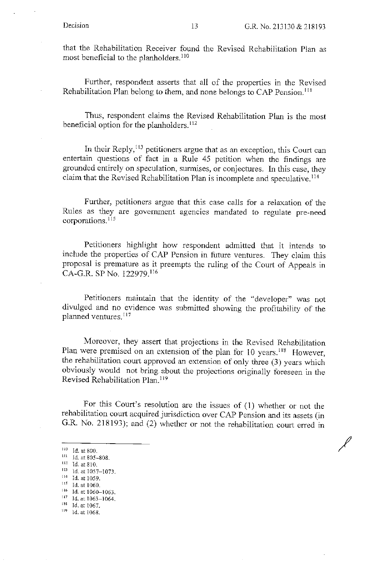/

that the Rehabilitation Receiver found the Revised Rehabilitation Pian as most beneficial to the planholders.<sup>110</sup>

Further, respondent asserts that all of the properties in the Revised Rehabilitation Plan belong to them, and none belongs to CAP Pension. <sup>111</sup>

Thus, respondent claims the Revised Rehabilitation Plan is the most beneficial option for the planholders.<sup>112</sup>

In their Reply,<sup>113</sup> petitioners argue that as an exception, this Court can entertain questions of fact in a Rule 45 petition when the findings are gronnded entirely on speculation, surmises, or conjectures. In this case, they claim that the Revised Rehabilitation Plan is incomplete and speculative. <sup>114</sup>

Further, petitioners argue that this case calls for a relaxation of the Rules as they are government agencies mandated to regulate pre-need corporations.<sup>115</sup>

Petitioners highlight how respondent admitted that it intends to include the properties of CAP Pension in future ventures. They claim this proposal is premature as it preempts the ruling of the Court of Appeals in CA-G.R. SP No. 122979. <sup>116</sup>

Petitioners maintain that the identity of the "developer" was not divulged and no evidence was submitted showing the profitability of the planned ventures.<sup>117</sup>

Moreover, they assert that projections in the Revised Rehabilitation Plan were premised on an extension of the plan for 10 years.<sup>118</sup> However, the rehabilitation court approved an extension of only three (3) years which obviously would not bring about the projections originally foreseen in the Revised Rehabilitation Plan.<sup>119</sup>

For this Court's resolution are the issues of (1) whether or not the rehabilitation court acquired jurisdiction over CAP Pension and its assets (in G.R. No. 218193); and (2) whether or not the rehabilitation court erred in

 $110$  Id. at 800.

 $\frac{111}{112}$  Id. at 805-808.<br>
113 Id. at 1057-1073.

<sup>&</sup>lt;sup>114</sup> Id. at 1059.

 $^{\rm 115}$  Id. at 1060.

<sup>&</sup>lt;sup>116</sup> Id. at 1060-1063.

 $^{117}$  Id. at 1063-1064.<br>  $^{118}$  Id. at 1067.

 $119$  Id. at 1068.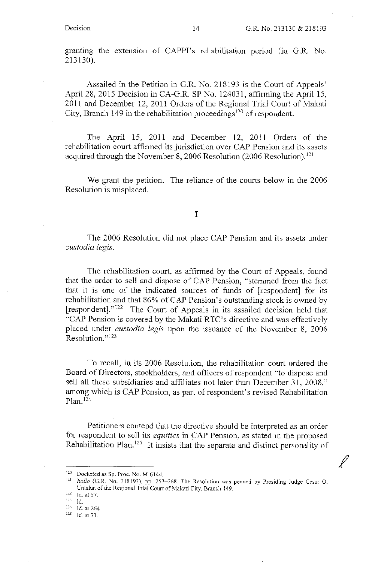granting the extension of CAPPI's rehabilitation period (in G.R. No. 213130).

Assailed in the Petition in G.R. No. 218193 is the Court of Appeals' April 28, 201S Decision in CA-G.R. SP No. 124031, affirming the April 15, 2011 and December 12, 2011 Orders of the Regional Trial Court of Makati City, Branch 149 in the rehabilitation proceedings<sup>120</sup> of respondent.

The April 15, 2011 and December 12, 2011 Orders of the rehabilitation court affirmed its jurisdiction over CAP Pension and its assets acquired through the November 8, 2006 Resolution (2006 Resolution).<sup>121</sup>

We grant the petition. The reliance of the courts below in the 2006 Resolution is misplaced.

#### I

The 2006 Resolution did not place CAP Pension and its assets under *custodia legis.* 

The rehabilitation court, as affirmed by the Court of Appeals, found that the order to sell and dispose of CAP Pension, "stemmed from the fact that it is one of the indicated sources of funds of [respondent] for its rehabilitation and that 86% of CAP Pension's outstanding stock is owned by [respondent]." 122 The Court of Appeals in its assailed decision held that "CAP Pension is covered by the Makati RTC's directive and was effectively placed under *custodia legis* upon the issuance of the November 8, 2006 Resolution."<sup>123</sup>

To recall, in its 2006 Resolution, the rehabilitation court ordered the Board of Directors, stockholders, and officers of respondent "to dispose and sell all these subsidiaries and affiliates not later than December 31, 2008," among which is CAP Pension, as part of respondent's revised Rehabilitation  $Plan.$ <sup>124</sup>

Petitioners contend that the directive should be interpreted as an order for respondent to sell its *equities* in CAP Pension, as stated in the proposed Rehabilitation Plan.<sup>125</sup> It insists that the separate and distinct personality of

<sup>120</sup> Docketed as Sp. Proc. No. M-6144.

<sup>121</sup>*Rollo* (G.R. No. 218193), pp. 253-268. The Resolution was penned by Presiding Judge Cesar 0. Untalan of the Regional Trial Court of Makati City, Branch 149.

 $122$  Id. at 57.<br> $123$  Id.

 $\frac{124}{125}$  Id. at 264.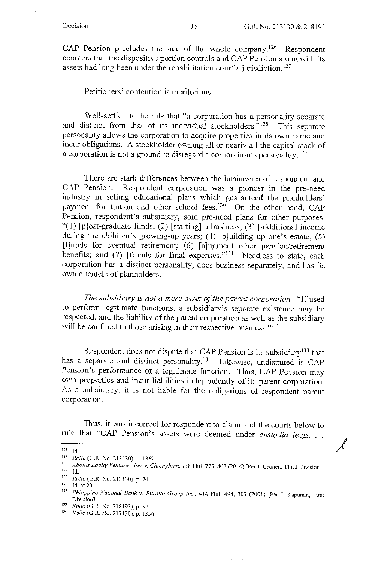*J* 

CAP Pension precludes the sale of the whole company. 126 Respondent counters that the dispositive portion controls and CAP Pension along with its assets had long been under the rehabilitation court's jurisdiction.<sup>127</sup>

Petitioners' contention is meritorious.

Well-settled is the rule that "a corporation has a personality separate and distinct from that of its individual stockholders."<sup>128</sup> This separate personality allows the corporation to acquire properties in its own name and incur obligations. A stockholder owning all or nearly all the capital stock of a corporation is not a ground to disregard a corporation's personality. 129

There are stark differences between the businesses of respondent and CAP Pension. Respondent corporation was a pioneer in the pre-need industry in selling educational plans which guaranteed the planholders' payment for tuition and other school fees.<sup>130</sup> On the other hand, CAP Pension, respondent's subsidiary, sold pre-need plans for other purposes: "(1)  $[p]$ ost-graduate funds; (2) [starting] a business; (3) [a]dditional income during the children's growing-up years; (4) [b]uilding up one's estate; (5) [f]unds for eventual retirement; (6) [a]ugment other pension/retirement benefits; and (7) [f]unds for final expenses."<sup>131</sup> Needless to state, each corporation has a distinct personality, does business separately, and has its own clientele of planholders.

*The subsidiary is not a mere asset qf the parent corporation.* "If used to perform legitimate functions, a subsidiary's separate existence may be respected, and the liability of the parent corporation as well as the subsidiary will be confined to those arising in their respective business."<sup>132</sup>

Respondent does not dispute that CAP Pension is its subsidiary<sup>133</sup> that has a separate and distinct personality.<sup>134</sup> Likewise, undisputed is CAP Pension's performance of a legitimate function. Thus, CAP Pension may own properties and incur liabilities independently of its parent corporation. As a subsidiary, it is not liable for the obligations of respondent parent corporation.

Thus, it was incorrect for respondent to claim and the courts below to rule that "CAP Pension's assets were deemed under *custodia legis .* ..

<sup>126</sup> Id.

<sup>127</sup> *Rollo* (G.R. No. 213130), p. 1362.<br><sup>128</sup> *Aboitiz Equity Ventures, Inc. v. Chiongbian*, 738 Phil. 773, 807 (2014) [Per J. Leonen, Third Division].<br><sup>129</sup> Id.

<sup>130</sup>*Rollo* (G.R. No\_ 213130), p. 70. 131 Id.at29.

<sup>132</sup>*Philippine National Bank v. Ritratro Group Inc.,* 414 Phil. 494, 503 (2001) [Per J. Kapunan, First

<sup>133</sup> *Rollo* (G.R. No. 218193), p. 52.

<sup>134</sup>*Rollo* (G.R. No.213130), p. 1356.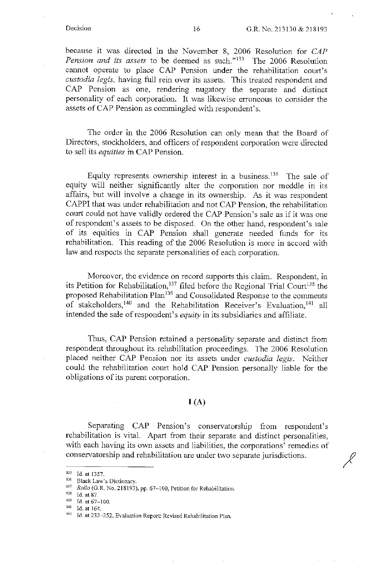*I* 

because it was directed in the November 8, 2006 Resolution for *CAP Pension and its assets* to be deemed as such."135 The 2006 Resolution cannot operate to place CAP Pension under the rehabilitation court's *custodia legis,* having full rein over its assets. This treated respondent and CAP Pension as one, rendering nugatory the separate and distinct personality of each corporation. It was likewise erroneous to consider the assets of CAP Pension as commingled with respondent's.

The order in the 2006 Resolution can only mean that the Board of Directors, stockholders, and officers of respondent corporation were directed to sell its *equities* in CAP Pension.

Equity represents ownership interest in a business.<sup>136</sup> The sale of equity will neither significantly alter the corporation nor meddle in its affairs, but will involve a change in its ownership. As it was respondent CAPPI that was under rehabilitation and not CAP Pension, the rehabilitation court could not have validly ordered the CAP Pension's sale as if it was one of respondent's assets to be disposed. On the other hand, respondent's sale of its equities in CAP Pension shall generate needed funds for its rehabilitation. This reading of the 2006 Resolution is more in accord with law and respects the separate personalities of each corporation.

Moreover, the evidence on record supports this claim. Respondent, in its Petition for Rehabilitation,  $137$  filed before the Regional Trial Court<sup>138</sup> the proposed Rehabilitation Plan<sup>139</sup> and Consolidated Response to the comments of stakeholders,<sup>140</sup> and the Rehabilitation Receiver's Evaluation,<sup>141</sup> all intended the sale of respondent's *equity* in its subsidiaries and affiliate.

Thus, CAP Pension retained a personality separate and distinct from respondent throughout its rehabilitation proceedings. The 2006 Resolution placed neither CAP Pension nor its assets under *custodia legis.* Neither could the rehabilitation court hold CAP Pension personally liable for the obligations of its parent corporation.

### $I(A)$

Separating CAP Pension's conservatorship from respondent's rehabilitation is vital. Apart from their separate and distinct personalities, with each having its own assets and liabilities, the corporations' remedies of conservatorship and rehabilitation are under two separate jurisdictions.

 $135$  Id. at 1357.<br>  $136$  Black Law's Dictionary.

<sup>&</sup>lt;sup>137</sup> *Rollo* (G.R. No. 218193), pp. 67-100, Petition for Rehabilitation.<br><sup>138</sup> Id. at 87.

 $139$  Id. at 67-100.<br> $140$  Id. at 164.

<sup>141</sup> Id. at 232-252, Evaluation Report: Revised Rehabilitation Plan.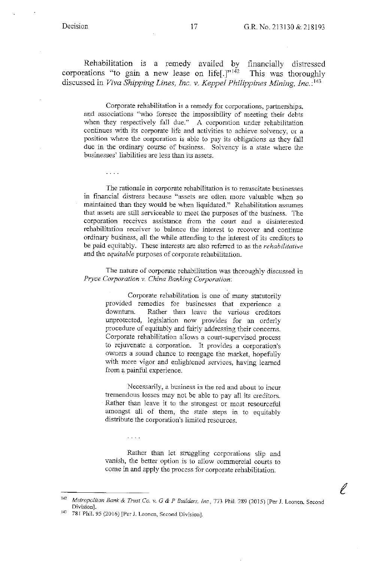$\ldots$  .

ĺ

Rehabilitation 1s a remedy availed by financially distressed corporations "to gain a new lease on life.] $v<sup>i42</sup>$  This was thoroughly discussed in *Viva Shipping Lines, Inc.* v. *Keppel Philippines Mining, Inc.* :143

Corporate rehabilitation is a remedy for corporations, partnerships. and associations "who foresee the impossibility of meeting their debts when they respectively fall due." A corporation under rehabilitation continues with its corporate life and activities to achieve solvency, or a position where the corporation is able to pay its obligations as they fall due in the ordinary course of business. Solvency is a state where the businesses' liabilities are less than its assets.

The rationaie in corporate rehabilitation is to resuscitate businesses in financial distress because "assets are often more valuable when so maintained than they would be when liquidated." Rehabilitation assumes that assets are still serviceable to meet the purposes of the business. The corporation receives assistance from the court and a disinterested rehabilitation receiver to balance the interest to recover and continue ordinary business, all the while attending to the interest of its creditors to be paid equitably. These interests are also referred to as the *rehabilitative*  and the *equitable* purposes of corporate rehabilitation.

The nature of corporate rehabilitation was thoroughly discussed in *Pryce Corporation v. China Banking Corporation:* 

Corporate rehabilitation is one of many statutorily provided remedies for businesses that experience a downturn. Rather than leave the various creditors unprotected, legislation now provides for an orderly procedure of equitably and fairly addressing their concerns. Corporate rehabilitation allows a court-supervised process to rejuvenate a corporation. It provides a corporation's owners a sound chance to reengage the market, hopefully with more vigor and enlightened services, having learned from a painful experience.

Necessarily, a business in the red and about to incur tremendous losses may not be able to pay all its creditors. Rather than leave it to the strongest or most resourceful amongst all of them, the state steps in to equitably distribute the corporation's limited resources.

Rather than let struggling corporations slip and vanish, the better option is to allow commercial courts to come in and apply the process for corporate rehabilitation.

 $\sim 100$ 

<sup>142</sup>*Metropolitan Bank* & *Trust Co\_ v.* G & *P Builders. Inc.,* 773 Phil. 289 (2015) [Per J\_ Leanen, Second Division].<br><sup>143</sup> 781 Phil. 95 (2016) [Per J. Leonen, Second Division].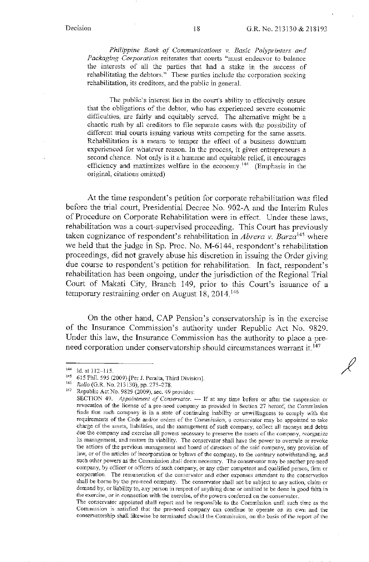*Philippine Bank of Communications v. Basic Polyprinters and Packaging Corporation* reiterates that courts "must endeavor to balance the interests of all the parties that had a stake in the success of rehabilitating the debtors." These parties include the corporation seeking rehabilitation, its creditors, and the public in general.

The public's interest lies in the court's ability to effectively ensure that the obligations of the debtor, who has experienced severe economic difficulties, are fairly and equitably served. The alternative might be a chaotic rush by all creditors to file separate cases with the possibility of different trial courts issuing various writs competing for the same assets. Rehabilitation is a means to temper the effect of a business downturn experienced for whatever reason. In the process, it gives entrepreneurs a second chance. Not only is it a humane and equitable relief, it encourages efficiency and maximizes welfare in the economy.<sup>144</sup> (Emphasis in the original, citations omitted)

At the time respondent's petition for corporate rehabilitation was filed before the trial court, Presidential Decree No. 902-A and the Interim Rules of Procedure on Corporate Rehabilitation were in effect. Under these laws, rehabilitation was a court-supervised proceeding. This Court has previously taken cognizance of respondent's rehabilitation in *Abrera v. Barza145* where we held that the judge in Sp. Proc. No. M-6144, respondent's rehabilitation proceedings, did not gravely abuse his discretion in issuing the Order giving due course to respondent's petition for rehabilitation. In fact, respondent's rehabilitation has been ongoing, under the jurisdiction of the Regional Trial Court of Makati City, Branch 149, prior to this Court's issuance of a temporary restraining order on August 18, 2014.<sup>146</sup>

On the other hand, CAP Pension's conservatorship is in the exercise of the Insurance Commission's authority under Republic Act No. 9829. Under this law, the Insurance Commission has the authority to place a preneed corporation under conservatorship should circumstances warrant it.<sup>147</sup>

<sup>144</sup> Id. at 112–115.<br><sup>145</sup> 615 Phil. 595 (2009) [Per J. Peralta, Third Division].<br><sup>146</sup> *Rollo* (G.R. No. 213130), pp. 275–278.<br><sup>147</sup> Republic Act No. 9829 (2009), sec. 49 provides:

SECTION 49. *Appointment of Conservator*. -- If at any time before or after the suspension or revocation of ihe license of a pre-need company as provided in Section 27 hereof, the Commission finds that such company is in a state of continuing inability or unwillingness to comply with the requirements of the Code and/or orders of the Commission, a conservator may be appointed to take charge of the assets, liabilities, and the management of such company, collect all moneys and debts due the company and exercise all powers necessary to preserve the assets of the company, reorganize its management, and restore its viability. The conservator shall have the power to overrule or revoke the actions of the previous management and board of directors of the said company, any provision of law, or of the articles of incorporation or bylaws of the company, to the contrary notwithstanding, and such other powers as the Commission shall deem necessary. The conservator may be another pre-need company, by officer or officers of such company, or any other competent and qualified person, firm or corporation. The remuneration of the conservator and other expenses attendant to the conservation shall be borne by the pre-need company. The conservator shall not be subject to any action, claim or demand by, or liability to, any person in respect of anything done or omitted to be done in good faith in the exercise, or in connection with the exercise, of the powers conferred on the conservator.

The conservator appointed shall report and be responsible to the Commission until such time as the Commission is satisfied that the pre-need company can continue to operate on its own and the conservatorship sha!I likewise be terminated should the Commission, on the basis of the report of the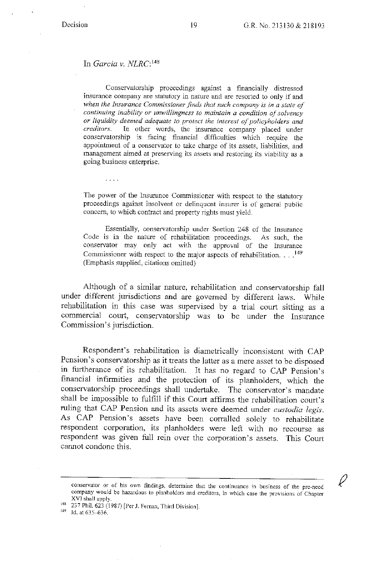#### In *Garcia v. NLRC:* <sup>148</sup>

 $\ldots$  .

Conservatorship proceedings against a financially distressed insurance company are statutory in nature and are resorted to only if and *when the Insurance Commissioner finds that such company is in a state of continuing inability or unwillingness to maintain a condition of solvency or liquidity deemed adequate to protect the interest of policyholders and*  In other words, the insurance company placed under conservatorship is facing financial difficulties which require the appointment of a conservator to take charge of its assets, liabilities, and management aimed at preserving its assets and restoring its viability as a going business enterprise.

The power of the Insurance Commissioner with respect to the statutory proceedings against insolvent or delinquent insurer is of general public concern, to which contract and property rights must yield.

Essentially, conservatorship under Section 248 of the Insurance Code is in the nature of rehabilitation proceedings. As such, the conservator may only act with the approval of the Insurance Commissioner with respect to the major aspects of rehabilitation.  $\ldots$ .<sup>149</sup> (Emphasis supplied, citations omitted)

Although of a similar nature, rehabilitation and conservatorship fall under different jurisdictions and are governed by different laws. While rehabilitation in this case was supervised by a trial court sitting as a commercial court, conservatorship was to be under the Insurance Commission's jurisdiction.

Respondent's rehabilitation is diametrically inconsistent with CAP Pension's conservatorship as it treats the latter as a mere asset to be disposed in furtherance of its rehabilitation. It has no regard to CAP Pension's financial infirmities and the protection of its planholders, which the conservatorship proceedings shall undertake. The conservator's mandate shall be impossible to fulfill if this Court affirms the rehabilitation court's ruling that CAP Pension and its assets were deemed under *custodia legis.*  As CAP Pension's assets have been corralled solely to rehabilitate respondent corporation, its planholders were left with no recourse as respondent was given full rein over the corporation's assets. This Court cannot condone this.

conservator or of his own findings, determine that the continuance in business of the pre~need company would be hazardous to planholders and creditors, in which case the provisions of Chapter

<sup>&</sup>lt;sup>148</sup> 237 Phil. 623 (1987) [Per J. Fernan, Third Division].<br><sup>149</sup> Id. at 635–636.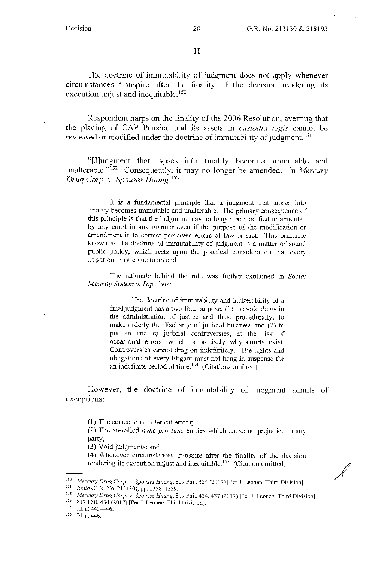$\ell$ 

II

The doctrine of immutability of judgment does not apply whenever circumstances transpire after the finality of the decision rendering its execution unjust and inequitable.<sup>150</sup>

Respondent harps on the finality of the 2006 Resolution, averring that the placing of CAP Pension and its assets in *custodia /egis* cannot be reviewed or modified under the doctrine of immutability of judgment.<sup>151</sup>

"[}Judgment that lapses into finality becomes immutable and unalterable."<sup>152</sup> Consequently, it may no longer be amended. In *Mercury Drug Corp. v. Spouses Huang*: <sup>153</sup>

It is a fundamental principle that a judgment that lapses into finality becomes immutable and unalterable. The primary consequence of this principle is that the judgment may no longer be modified or amended by any court in any manner even if the purpose of the modification or amendment is to correct perceived errors of law or fact. This principle known as the doctrine of immutability of judgment is a matter of sound public policy, which rests upon the practical consideration that every litigation must come to an end.

The rationale behind the rule was further explained in *Social Security System v. Isip, thus:* 

The doctrine of immutability and inalterability of a final judgment has a two-fold purpose: (1) to avoid delay in the administration of justice and thus, procedurally, to make orderly the discharge of judicial business and (2) to put an end to judicial controversies, at the risk of occasional errors, which is precisely why courts exist. Controversies cannot drag on indefinitely. The rights and obligations of every litigant must not hang in suspense for an indefinite period of time.<sup>154</sup> (Citations omitted)

However, the doctrine of immutability of judgment admits of exceptions:

(1) The correction of clerical errors;

(2) The so-called *nunc pro tune* entries which cause no prejudice to any party;

(3) Void judgments; and

(4) Whenever circumstances transpire after the finality of the decision rendering its execution unjust and inequitable.<sup>155</sup> (Citation omitted)

<sup>150</sup> Mercury Drug Corp. v. Spouses Huang, 817 Phil. 434 (2017) [Per J. Leonen, Third Division].<br>
<sup>151</sup> Rollo (G.R. No. 213130), pp. 1358–1359.<br> *Mercury Drug Corp. v. Spouses Huang*, 817 Phil. 434, 437 (2017) [Per J. Leo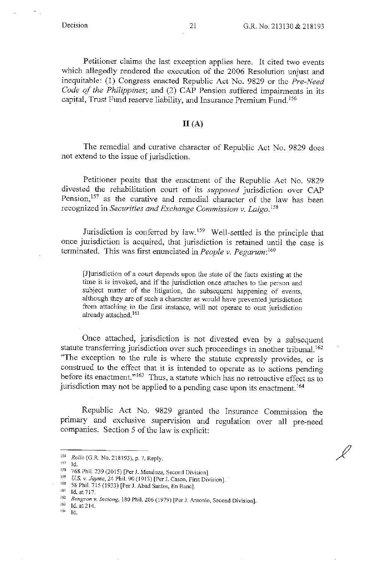÷,

Ľ

Petitioner claims the last exception applies here. It cited two events which allegedly rendered the execution of the 2006 Resolution unjust and inequitahle: (I) Congress enacted Republic Act No. 9829 or the *Pre-Need Code of the Philippines;* and (2) CAP Pension suffered impairments in its capital, Trust Fund reserve liability, and Insurance Premium Fund. <sup>156</sup>

### $II(A)$

The remedial and curative character of Republic Act No. 9829 does not extend to the issue of jurisdiction.

Petitioner posits that the enactment of the Republic Act No. 9829 divested the rehabilitation court of its *supposed* jurisdiction over CAP Pension,<sup>157</sup> as the curative and remedial character of the law has been recognized in *Securities and Exchange Commission v. Laigo*.<sup>158</sup>

Jurisdiction is conferred by law. 159 Well-settled is the principle that once jurisdiction is acquired, that jurisdiction is retained until the case is terminated. This was first enunciated in *People v. Pegarum: <sup>160</sup>*

[J]urisdiction of a court depends upon the state of the facts existing at the time it is invoked, and if the jurisdiction once attaches to the person and subject matter of the litigation, the subsequent happening of events, although they are of such a character as would have prevented jurisdiction from attaching in the first instance, will not operate to oust jurisdiction already attached. <sup>161</sup>

Once attached, jurisdiction is not divested even by a subsequent statute transferring jurisdiction over such proceedings in another tribunal. <sup>162</sup> "The exception to the rule is where the statute expressly provides, or is construed to the effect that it is intended to operate as to actions pending before its enactment."<sup>163</sup> Thus, a statute which has no retroactive effect as to jurisdiction may not be applied to a pending case upon its enactment. 164

Republic Act No. 9829 granted the Insurance Commission the primary and exclusive supervision and regulation over all pre-need companies. Section 5 of the law is explicit:

<sup>156</sup> *Rollo* (G.R. No. 218193), p. 7, Reply. 157 Id.

<sup>153 768</sup> Phil. 239 (2015) [Per J. Mendoza, Second Division]. 159 *US. v. Jayme,* 24 Phil. 90 (1913) [Per J. Cason, First Division].

<sup>161</sup> Id. at 717.<br><sup>162</sup> *Bengzon v. Inciong*, 180 Phil. 206 (1979) [Per J. Antonio, Second Division].<br><sup>163</sup> Id. at 214.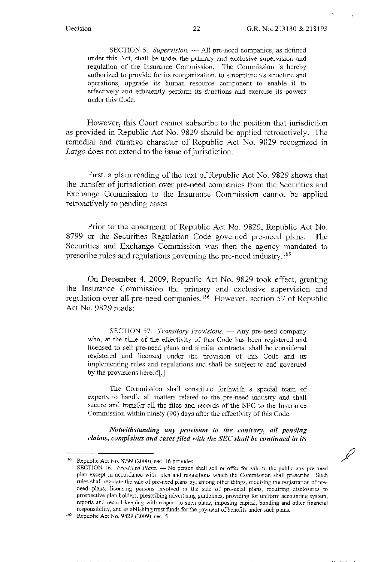SECTION 5. Supervision. 
<sub>--</sub> All pre-need companies, as defined under this Act, shall be under the primary and exclusive supervision and regulation of the Insurance Commission. The Commission is hereby authorized to provide for its reorganization, to streamline its structure and operations, upgrade its human resource component to enable it to effectively and efficiently perform its functions and exercise its powers under this Code.

However, this Court cannot subscribe to the position that jurisdiction as provided in Republic Act No. 9829 should be applied retroactively. The remedial and curative character of Republic Act No. 9829 recognized in *Laigo* does not extend to the issue of jurisdiction.

First, a plain reading of the text of Republic Act No. 9829 shows that the transfer of jurisdiction over pre-need companies from the Securities and Exchange Commission to the Insurance Commission cannot be applied retroactively to pending cases.

Prior to the enactment of Republic Act No. 9829, Republic Act No. 8799 or the Securities Regulation Code governed pre-need plans. The Securities and Exchange Commission was then the agency mandated to prescribe rules and regulations governing the pre-need industry. <sup>165</sup>

On December 4, 2009, Republic Act No. 9829 took effect, granting the Insurance Commission the primary and exclusive supervision and regulation over all pre-need companies. 166 However, section 57 of Republic Act No. 9829 reads:

SECTION 57. *Transitory Provisions.* - Any pre-need company who, at the time of the effectivity of this Code has been registered and licensed to sell pre-need plans and similar contracts, shall be considered registered and licensed under the provision of this Code and its implementing rules and regulations and shall be subject to and governed by the provisions hereof[.]

The Commission shall constitute forthwith a special team of experts to handle all matters related to the pre-need industry and shall secure and transfer all the files and records of the SEC to the Insurance Commission within ninety (90) days after the effectivity of this Code.

*Notwithstanding any provision to the contrary, all pending claims, complaints and cases filed with the SEC shall be continued in its* 

<sup>165</sup> Republic Act No. 8799 (2000), sec. 16 provides:

SECTION 16. *Pre-Need Plans*. - No person shall sell or offer for sale to the public any pre-need plan except in accordance with mles and regulations which the Commission shall prescribe. Such rules shall regulate the sale of pre-need plans by, among other things, requiring the registration of preneed plans, licensing persons involved in the sale of pre-need plans, requiring disclosures to prospective plan holders, prescribing advertising guidelines, providing for uniform accounting system, reports and record keeping with respect to such plans, imposing capital, bonding and other financial responsibility, and establishing trust funds for the payment of benefits under such plans.

<sup>&</sup>lt;sup>166</sup> Republic Act No. 9829 (2009), sec. 5.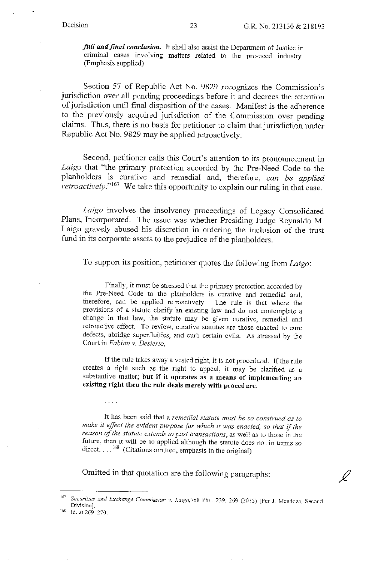Ĺ

*full and final conclusion.* It shall also assist the Department of Justice in criminal cases involving matters related to the pre-need industry. (Emphasis supplied)

Section 57 of Republic Act No. 9829 recognizes the Commission's jurisdiction over all pending proceedings before it and decrees the retention of jurisdiction until final disposition of the cases. Manifest is the adherence to the previously acquired jurisdiction of the Commission over pending claims. Thus, there is no basis for petitioner to claim that jurisdiction under Republic Act No. 9829 may be applied retroactively.

Second, petitioner calls this Court's attention to irs pronouncement in *Laigo* that "the primary protection accorded by the Pre-Need Code to the planholders is curative and remedial and, therefore, *can be applied retroactively.*"<sup>167</sup> We take this opportunity to explain our ruling in that case.

*Laigo* involves the insolvency proceedings of Legacy Consolidated Plans, Incorporated. The issue was whether Presiding Judge Reynaldo M. Laigo gravely abused his discretion in ordering the inclusion of the trust fund in its corporate assets to the prejudice of the planholders.

To support its position, petitioner quotes the following from *Laigo:* 

Finally, it must be stressed that the primary protection accorded by the Pre-Need Code to the planholders is curative and remedial and, therefore, can be applied retroactively. The rule is that where the provisions of a statute clarify an existing law and do not contemplate a change in that law, the statute may be given curative, remedial and retroactive effect. To review, curative statutes are those enacted to cure defects, abridge superfluities, and curb certain evils. As stressed by the Court in *Fabian v. Desierto,* 

If the rule takes away a vested right, it is not procedural. If the rule creates a right such as the right to appeal, it may be clarified as a substantive matter; but if it operates as a means of implementing an existing right then the rule deals merely with procedure.

It has been said that a *remedial statute must be so construed as to make* it *effect the evident purpose for which* it *was enacted, so that* if *the*  reason of the statute extends to past transactions, as well as to those in the future, then it will be so applied although the statute does not in terms so direct...<sup>168</sup> (Citations omitted, emphasis in the original)

Omitted in that quotation are the following paragraphs:

. . . .

<sup>167</sup> Securities and Exchange Commission v. Laigo, 768 Phil. 239, 269 (2015) [Per J. Mendoza, Second Division].

<sup>&</sup>lt;sup>168</sup> Id. at 269-270.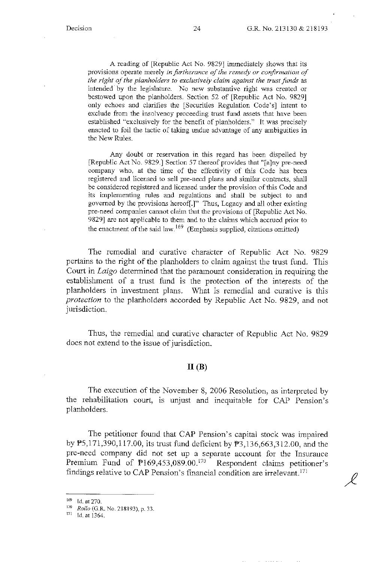A reading of [Republic Act No. 9829] immediately shows that its provisions operate merely *in furtherance of the remedy or confirmation of the right of the planholders to exclusively claim against the trust funds* as intended by the legislature. No new substantive right was created or bestowed upon the planholders. Section 52 of [Republic Act No. 9829] only echoes and clarifies the [Securities Regulation Code's] intent to exclude from the insolvency proceeding trust fund assets that have been established "exclusively for the benefit of planholders." It was precisely enacted to foil the tactic of taking undue advantage of any ambiguities in the New Rules.

Any doubt or reservation in this regard has been dispelled by [Republic Act No. 9829.] Section 57 thereof provides that "fa]ny pre-need company who, at the time of the effectivity of this Code has been registered and licensed to sell pre-need plans and similar contracts, shall be considered registered and licensed under the provision of this Code and its implementing rules and regulations and shall be subject to and governed by the provisions hereof[.]" Thus, Legacy and all other existing pre-need companies cannot claim that the provisions of [Republic Act No. 9829] are not applicable to them and to the claims which accrued prior to the enactment of the said law.  $169$  (Emphasis supplied, citations omitted)

The remedial and curative character of Republic Act No. 9829 pertains to the right of the planholders to claim against the trust fund. This Conrt in *Laigo* determined that the paramount consideration in requiring the establishment of a trust fund is the protection of the interests of the planholders in investment plans. What is remedial and curative is this *protection* to the planholders accorded by Republic Act No. 9829, and not jurisdiction.

Thus, the remedial and curative character of Republic Act No. 9829 does not extend to the issue of jurisdiction.

### $II(B)$

The execution of the November 8, 2006 Resolution, as interpreted by the rehabilitation court, is unjust and inequitable for CAP Pension's planholders.

The petitioner found that CAP Pension's capital stock was impaired by  $\overline{P5,171,390,117.00}$ , its trust fund deficient by  $\overline{P3,136,663,312.00}$ , and the pre-need company did not set up a separate account for the Insurance Premium Fund of  $\mathbb{P}169,453,089.00$ .<sup>170</sup> Respondent claims petitioner's findings relative to CAP Pension's financial condition are irrelevant. <sup>171</sup>

<sup>169</sup> Id. at 270.

<sup>&</sup>lt;sup>170</sup> *Rollo* (G.R. No. 218193), p. 33.

<sup>171</sup> Id. at 1364.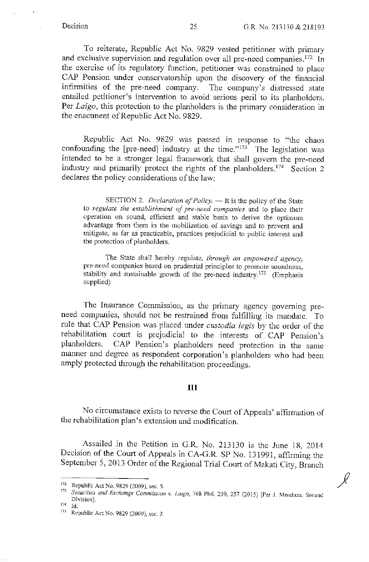*J* 

To reiterate, Republic Act No. 9829 vested petitioner with primary and exclusive supervision and regulation over all pre-need companies.<sup>172</sup> In the exercise of its regulatory function, petitioner was constrained to place CAP Pension under conservatorship upon the discovery of the financial infirmities of the pre-need company. The company's distressed state entailed petitioner's intervention to avoid serious peril to its planholders. Per *Laigo,* this protection to the planholders is the primary consideration in the enactment of Republic Act No. 9829.

Republic Act No. 9829 was passed in response to "the chaos confounding the [pre-need] industry at the time." $173$  The legislation was intended to be a stronger legal framework that shall govern the pre-need industry and primarily protect the rights of the planholders.<sup>174</sup> Section 2 declares the policy considerations of the law:

SECTION 2. *Declaration of Policy.* - It is the policy of the State to *regulate the establishment of pre-need companies* and to place their operation on sound, efficient and stable basis to derive the optimum advantage from them in the mobilization of savings and to prevent and mitigate, as far as practicable, practices prejudicial to public interest and the protection of planholders.

The State shall hereby regulate, *through an empowered agency,*  pre-need companies based on prudential principles to promote soundness, stability and sustainable growth of the pre-need industry.<sup>175</sup> (Emphasis supplied)

The Insurance Commission, as the primary agency governing preneed companies, should not be restrained from fulfilling its mandate. To rule that CAP Pension was placed nnder *custodia legis* by the order of the rehabilitation court is prejudicial to the interests of CAP Pension's planholders. CAP Pension's planholders need protection in the same manner and degree as respondent corporation's planholders who had been amply protected through the rehabilitation proceedings.

### III

No circumstance exists to reverse the Court of Appeals' affirmation of the rehabilitation plan's extension and modification.

Assailed in the Petition in G.R. No. 213130 is the June 18, 2014 Decision of the Court of Appeals in CA-G.R. SP No. 131991, affirming the September 5, 2013 Order of the Regional Trial Court of Makati City, Branch

<sup>&</sup>lt;sup>172</sup> Republic Act No. 9829 (2009), sec. 5.<br><sup>173</sup> *Securities and Exchange Commission v. Laigo*, 768 Phil. 239, 257 (2015) [Per J. Mendoza, Second Division]. 174 Id.

<sup>175</sup> Republic Act No. 9829 (2009), sec. 2.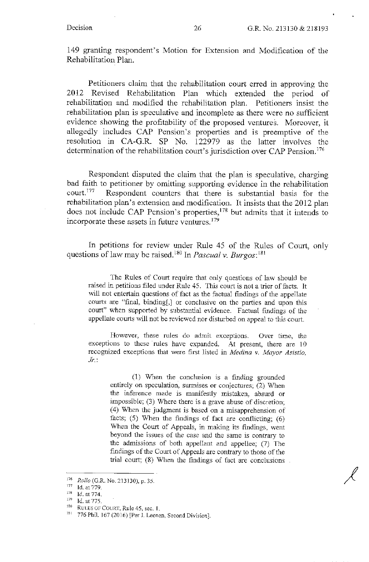149 granting respondent's Motion for Extension and Modification of the Rehabilitation Plan.

Petitioners claim that the rehabilitation court erred in approving the 2012 Revised Rehabilitation Plan which extended the period of rehabilitation and modified the rehabilitation plan. Petitioners insist the rehabilitation plan is speculative and incomplete as there were no sufficient evidence showing the profitability of the proposed ventures. Moreover, it allegedly includes CAP Pension's properties and is preemptive of the resolution in CA-G.R. SP No. 122979 as the latter involves the determination of the rehabilitation court's jurisdiction over CAP Pension. <sup>176</sup>

Respondent disputed the claim that the plan is speculative, charging bad faith to petitioner by omitting supporting evidence in the rehabilitation court. 177 Respondent counters that there is substantial basis for the rehabilitation plan's extension and modification. It insists that the 2012 plan does not include CAP Pension's properties,<sup>178</sup> but admits that it intends to incorporate these assets in future ventures. <sup>179</sup>

In petitions for review under Rule 45 of the Rules of Court, only questions of law may be raised.<sup>180</sup> In *Pascual v. Burgos*:<sup>181</sup>

The Rules of Court require that only questions of law should be raised in petitions filed under Rule 45. This court is not a trier of facts. It will not entertain questions of fact as the factual findings of the appellate courts are "final, binding[,} or conclusive on the parties and upon this court" when supported by substantial evidence. Factual findings of the appellate courts will not be reviewed nor disturbed on appeal to this court.

However, these rules do admit exceptions. Over time, the exceptions to these rules have expanded. At present, there are 10 recognized exceptions that were first listed in *Medina v. Mayor Asistio*, *Jr.:* 

(1) \Vhen the conclusion is a finding grounded entirely on speculation, surmises or conjectures; (2) When the inference made is manifestly mistaken, absurd or impossible; (3) Where there is a grave abuse of discretion; (4) When the judgment is based on a misapprehension of facts;  $(5)$  When the findings of fact are conflicting;  $(6)$ When the Court of Appeals, in making its findings, went beyond the issues of the case and the same is contrary to the admissions of both appellant and appellee; (7) The findings of the Court of Appeals are contrary to those of the trial court;  $(8)$  When the findings of fact are conclusions.

<sup>&</sup>lt;sup>176</sup> *Rollo* (G.R. No. 213130), p. 35.

<sup>177</sup> Id. at 779.<br>
178 Id. at 774.<br>
179 Id. at 775.<br>
180 RULES OF COURT, Rule 45, sec. 1.

 $181$  776 Phil. 167 (2016) [Per J. Leonen, Second Division].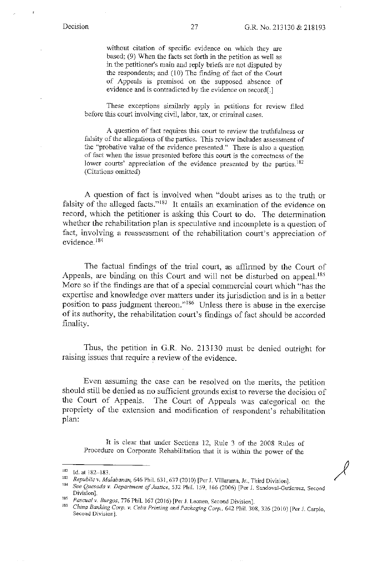*)* 

without citation of specific evidence on which they are based;  $(9)$  When the facts set forth in the petition as well as in the petitioner's main and reply briefs are not disputed by the respondents; and (10) The finding of fact of the Court of Appeals is premised on the supposed absence of evidence and is contradicted by the evidence on record[.]

These exceptions similarly apply in petitions for review filed before this court involving civil, labor, tax, or criminal cases.

A question of fact requires this court to review the truthfulness or falsity of the allegations of the parties. This review includes assessment of the "probative value of the evidence presented." There is also a question of fact when the issue presented before this court is the correctness of the lower courts' appreciation of the evidence presented by the parties.<sup>182</sup> (Citations omitted)

A question of fact is involved when "doubt arises as to the truth or falsity of the alleged facts."<sup>183</sup> It entails an examination of the evidence on record, which the petitioner is asking this Court to do. The determination whether the rehabilitation plan is speculative and incomplete is a question of fact, involving a reassessment of the rehabilitation court's appreciation of evidence. <sup>184</sup>

The factual findings of the trial court, as affirmed by the Court of Appeals, are binding on this Court and will not be disturbed on appeal.<sup>185</sup> More so if the findings are that of a special commercial court which "has the expertise and knowledge over matters under its jurisdiction and is in a better position to pass judgment thereon."186 Unless there is abuse in the exercise of its authority, the rehabilitation court's findings of fact should be accorded finality.

Thus, the petition in G.R. No. 213130 must be denied outright for raising issues that require a review of the evidence.

Even assuming the case can be resolved on the merits, the petition should still be denied as no sufficient grounds exist to reverse the decision of the Court of Appeals. The Court of Appeals was categorical on the The Court of Appeals was categorical on the propriety of the extension and modification of respondent's rehabilitation plan:

*It* is clear that under Sections 12, Rule 3 of the 2008 Rules of Procedure on Corporate Rehabilitation that it is within the power of the

<sup>182</sup> Id. at 182–183.<br><sup>183</sup> Republic v. Malabanan, 646 Phil. 631, 637 (2010) [Per J. Villarama, Jr., Third Division].<br><sup>184</sup> See Quesada v. Department of Justice, 532 Phil. 159, 166 (2006) [Per J. Sandoval-Gutierrez, Second Division].<br>Pascual v. Burgos, 776 Phil. 167 (2016) [Per J. Leonen, Second Division].

<sup>&</sup>lt;sup>185</sup> Pascual v. Burgos, 776 Phil. 167 (2016) [Per J. Leonen, Second Division].<br><sup>186</sup> *China Banking Corp. v. Cebu Printing and Packaging Corp.*, 642 Phil. 308, 326 (2010) [Per J. Carpio, Second Division].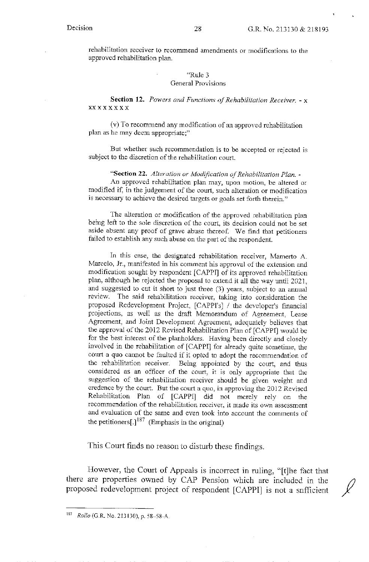rehabilitation receiver to recommend amendments or modifications to the approved rehabilitation plan.

#### "Rule 3 General Provisions

**Section** 12. *Powers and Functions of Rehabilitation Receiver.* - x xxxxxxxx

(v) To recommend any modification of an approved rehabilitation plan as he may deem appropriate;"

But whether such recommendation is to be accepted or rejected is subject to the discretion of the rehabilitation court.

**"Section** 22. *Alteration or Modification of Rehabilitation Plan.* - An approved rehabilitation plan may, upon motion, be altered or modified if, in the judgement of the court, such alteration or modification is necessary to achieve the desired targets or goals set forth therein."

The alteration or modification of the approved rehabilitation plan being left to the sole discretion of the court, its decision could not be set aside absent any proof of grave abuse thereof. We find that petitioners failed to establish any such abuse on the part of the respondent.

In this case, the designated rehabilitation receiver, Mamerto A. Marcelo, Jr., manifested in his comment his approval of the extension and modification sought by respondent [CAPPI] of its approved rehabilitation plan, although he rejected the proposal to extend it all the way until 2021, and suggested to cut it short to just three (3) years, subject to an annual review. The said rehabilitation receiver, taking into consideration the proposed Redevelopment Project, [CAPPI's] / the developer's financial projections, as well as the draft Memorandum of Agreement, Lease Agreement, and Joint Development Agreement, adequately believes that the approval of the 2012 Revised Rehabilitation Plan of [CAPPI] would be for the best interest of the planholders. Having been directly and closely involved in the rehabilitation of [CAPPI] for already quite sometime, the court a quo cannot be faulted if it opted to adopt the recommendation of the rehabilitation receiver. Being appointed by the court, and thus considered as an officer of the court, it is only appropriate that the suggestion of the rehabilitation receiver should be given weight and credence by the court. But the court a quo, in approving the 2012 Revised Rehabilitation Plan of [CAPP!] did not merely rely on the recommendation of the rehabilitation receiver, it made its own assessment and evaluation of the same and even took into account the comments of the petitioners[.] $187$  (Emphasis in the original)

This Court finds no reason to disturb these findings.

However, the Court of Appeals is incorrect in ruling, "[t]he fact that there are properties owned by CAP Pension which are included in the proposed redevelopment project of respondent [CAPP]] is not a sufficient *){* 

<sup>187</sup>*Rollo* (G.R. No. 213130), p. 58-58-A.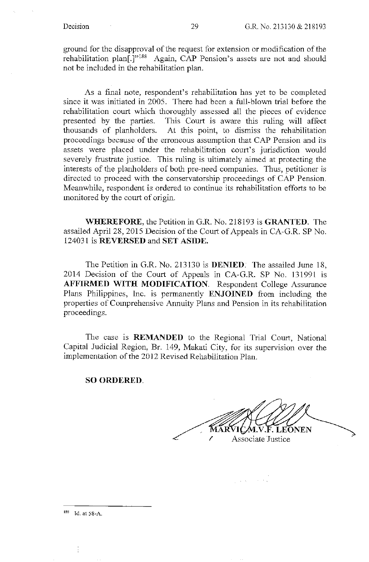ground for the disapproval of the request for extension or modification of the rehabilitation plan<sup>[.]"188</sup> Again, CAP Pension's assets are not and should not be included in the rehabilitation plan.

As a final note, respondent's rehabilitation has yet to be completed since it was initiated in 2005. There had been a full-blown trial before the rehabilitation court which thoroughly assessed all the pieces of evidence presented by the parties. This Court is aware this ruling will affect thousands of planholders. At this point, to dismiss the rehabilitation proceedings because of the erroneous assumption that CAP Pension and its assets were placed under the rehabilitation court's jurisdiction would severely frustrate justice. This ruling is ultimately aimed at protecting the interests of the planholders of both pre-need companies. Thus, petitioner is directed to proceed with the conservatorship proceedings of CAP Pension. Meanwhile, respondent is ordered to continue its rehabilitation efforts to be monitored by the court of origin.

**WHEREFORE,** the Petition in G.R. No. 218193 is **GRANTED.** The assailed April 28, 2015 Decision of the Court of Appeals in CA-G.R. SP No. 124031 is **REVERSED** and **SET ASIDE.** 

The Petition in G.R. No. 213130 is **DENIED.** The assailed June 18, 2014 Decision of the Court of Appeals in CA-G.R. SP No. 131991 is **AFFIRMED WITH MODIFICATION.** Respondent College Assurance Plans Philippines, Inc. is permanently **ENJOINED** from including the properties of Comprehensive Annuity Plans and Pension in its rehabilitation proceedings.

The case is **REMANDED** to the Regional Trial Court, National Capital Judicial Region, Br. 149, Makati City, for its supervision over the implementation of the 2012 Revised Rehabilitation Plan.

**SO ORDERED.** 

.F. LEONEN Associate Justice

 $\frac{1}{2} \left( \frac{1}{2} \frac{1}{2} \right)$  ,  $\frac{1}{2} \left( \frac{1}{2} \right)$  ,  $\frac{1}{2} \left( \frac{1}{2} \right)$ 

188 Id. at 58-A.

ł